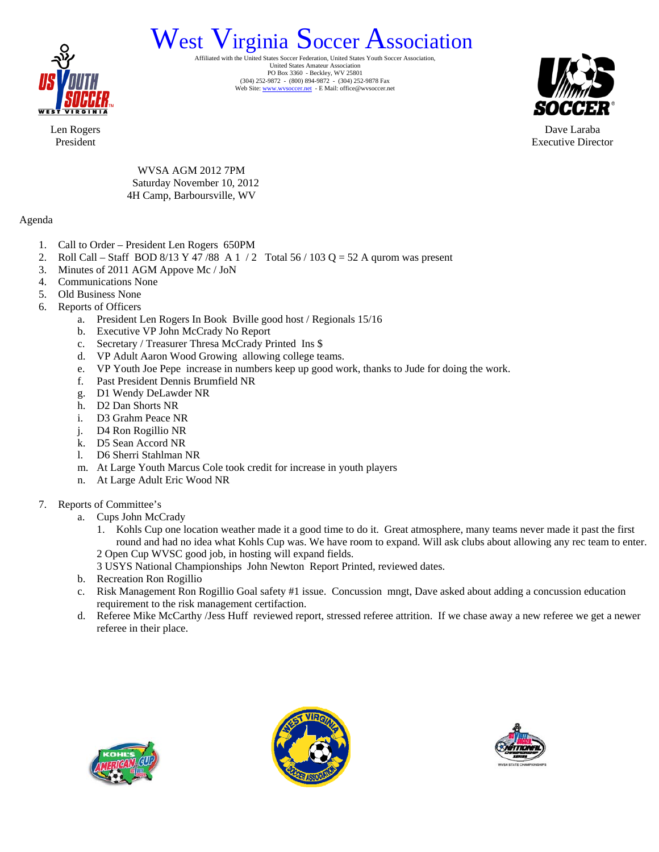

## West Virginia Soccer Federation, United States Soccer Association.

United States Amateur Association PO Box 3360 - Beckley, WV 25801 (304) 252-9872 - (800) 894-9872 - (304) 252-9878 Fax Web Site: www.wvsoccer.net - E Mail: office@wvsoccer.net



Dave Laraba Executive Director

Len Rogers President

> WVSA AGM 2012 7PM Saturday November 10, 2012 4H Camp, Barboursville, WV

## Agenda

- 1. Call to Order President Len Rogers 650PM
- 2. Roll Call Staff BOD 8/13 Y 47 /88 A 1 / 2 Total 56 / 103 Q = 52 A qurom was present
- 3. Minutes of 2011 AGM Appove Mc / JoN
- 4. Communications None
- 5. Old Business None
- 6. Reports of Officers
	- a. President Len Rogers In Book Bville good host / Regionals 15/16
	- b. Executive VP John McCrady No Report
	- c. Secretary / Treasurer Thresa McCrady Printed Ins \$
	- d. VP Adult Aaron Wood Growing allowing college teams.
	- e. VP Youth Joe Pepe increase in numbers keep up good work, thanks to Jude for doing the work.
	- f. Past President Dennis Brumfield NR
	- g. D1 Wendy DeLawder NR
	- h. D2 Dan Shorts NR
	- i. D3 Grahm Peace NR
	- j. D4 Ron Rogillio NR
	- k. D5 Sean Accord NR
	- l. D6 Sherri Stahlman NR
	- m. At Large Youth Marcus Cole took credit for increase in youth players
	- n. At Large Adult Eric Wood NR
- 7. Reports of Committee's
	- a. Cups John McCrady
		- 1. Kohls Cup one location weather made it a good time to do it. Great atmosphere, many teams never made it past the first round and had no idea what Kohls Cup was. We have room to expand. Will ask clubs about allowing any rec team to enter. 2 Open Cup WVSC good job, in hosting will expand fields.
		- 3 USYS National Championships John Newton Report Printed, reviewed dates.
	- b. Recreation Ron Rogillio
	- c. Risk Management Ron Rogillio Goal safety #1 issue. Concussion mngt, Dave asked about adding a concussion education requirement to the risk management certifaction.
	- d. Referee Mike McCarthy /Jess Huff reviewed report, stressed referee attrition. If we chase away a new referee we get a newer referee in their place.





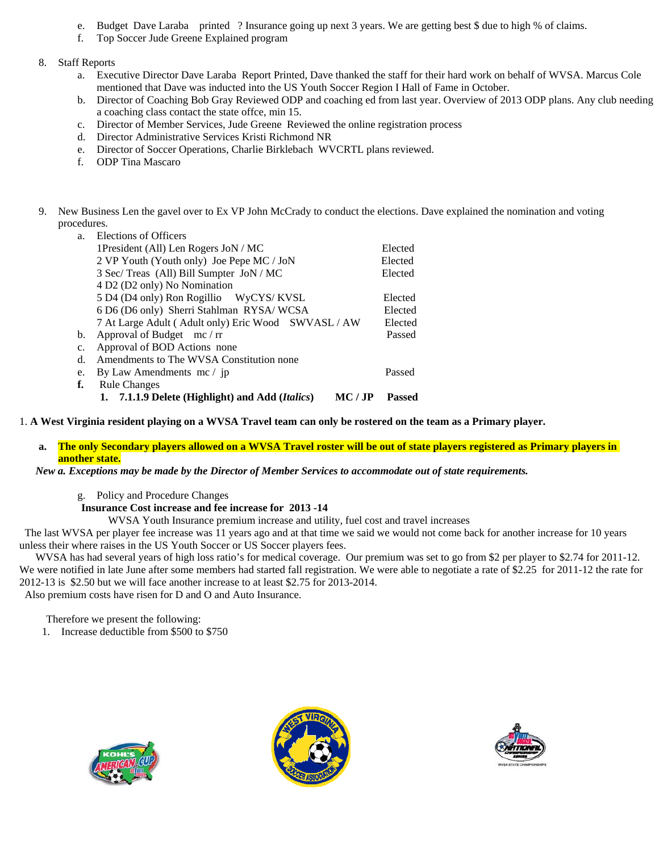- e. Budget Dave Laraba printed ? Insurance going up next 3 years. We are getting best \$ due to high % of claims.
- f. Top Soccer Jude Greene Explained program
- 8. Staff Reports
	- a. Executive Director Dave Laraba Report Printed, Dave thanked the staff for their hard work on behalf of WVSA. Marcus Cole mentioned that Dave was inducted into the US Youth Soccer Region I Hall of Fame in October.
	- b. Director of Coaching Bob Gray Reviewed ODP and coaching ed from last year. Overview of 2013 ODP plans. Any club needing a coaching class contact the state offce, min 15.
	- c. Director of Member Services, Jude Greene Reviewed the online registration process
	- d. Director Administrative Services Kristi Richmond NR
	- e. Director of Soccer Operations, Charlie Birklebach WVCRTL plans reviewed.
	- f. ODP Tina Mascaro
- 9. New Business Len the gavel over to Ex VP John McCrady to conduct the elections. Dave explained the nomination and voting procedures.

| a. | Elections of Officers                                      |               |
|----|------------------------------------------------------------|---------------|
|    | 1President (All) Len Rogers JoN / MC                       | Elected       |
|    | 2 VP Youth (Youth only) Joe Pepe MC / JoN                  | Elected       |
|    | 3 Sec/ Treas (All) Bill Sumpter JoN / MC                   | Elected       |
|    | 4 D2 (D2 only) No Nomination                               |               |
|    | 5 D4 (D4 only) Ron Rogillio WyCYS/KVSL                     | Elected       |
|    | 6 D6 (D6 only) Sherri Stahlman RYSA/WCSA                   | Elected       |
|    | 7 At Large Adult (Adult only) Eric Wood SWVASL / AW        | Elected       |
| b. | Approval of Budget $mc / rr$                               | Passed        |
| c. | Approval of BOD Actions none                               |               |
| d. | Amendments to The WVSA Constitution none                   |               |
| e. | By Law Amendments mc / jp                                  | Passed        |
| f. | <b>Rule Changes</b>                                        |               |
|    | 1. 7.1.1.9 Delete (Highlight) and Add (Italics)<br>MC / JP | <b>Passed</b> |

1. **A West Virginia resident playing on a WVSA Travel team can only be rostered on the team as a Primary player.** 

**a. The only Secondary players allowed on a WVSA Travel roster will be out of state players registered as Primary players in another state.** 

 *New a. Exceptions may be made by the Director of Member Services to accommodate out of state requirements.* 

g. Policy and Procedure Changes

**Insurance Cost increase and fee increase for 2013 -14** 

WVSA Youth Insurance premium increase and utility, fuel cost and travel increases

 The last WVSA per player fee increase was 11 years ago and at that time we said we would not come back for another increase for 10 years unless their where raises in the US Youth Soccer or US Soccer players fees.

WVSA has had several years of high loss ratio's for medical coverage. Our premium was set to go from \$2 per player to \$2.74 for 2011-12. We were notified in late June after some members had started fall registration. We were able to negotiate a rate of \$2.25 for 2011-12 the rate for 2012-13 is \$2.50 but we will face another increase to at least \$2.75 for 2013-2014. Also premium costs have risen for D and O and Auto Insurance.

Therefore we present the following:

1. Increase deductible from \$500 to \$750